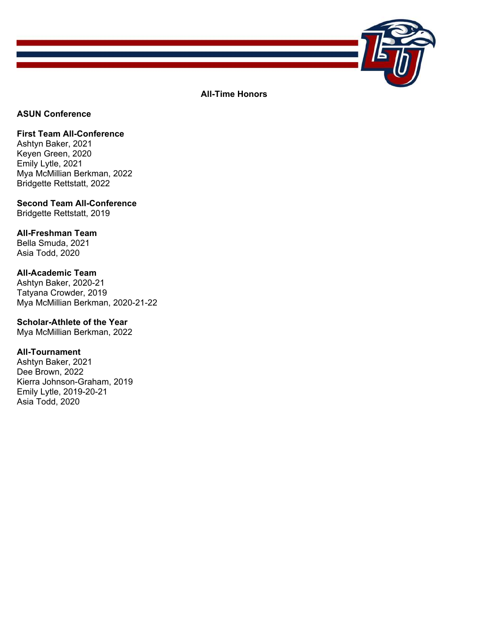

**All-Time Honors** 

## **ASUN Conference**

## **First Team All-Conference**

Ashtyn Baker, 2021 Keyen Green, 2020 Emily Lytle, 2021 Mya McMillian Berkman, 2022 Bridgette Rettstatt, 2022

**Second Team All-Conference**  Bridgette Rettstatt, 2019

# **All-Freshman Team**

Bella Smuda, 2021 Asia Todd, 2020

## **All-Academic Team**

Ashtyn Baker, 2020-21 Tatyana Crowder, 2019 Mya McMillian Berkman, 2020-21-22

## **Scholar-Athlete of the Year**

Mya McMillian Berkman, 2022

## **All-Tournament**

Ashtyn Baker, 2021 Dee Brown, 2022 Kierra Johnson-Graham, 2019 Emily Lytle, 2019-20-21 Asia Todd, 2020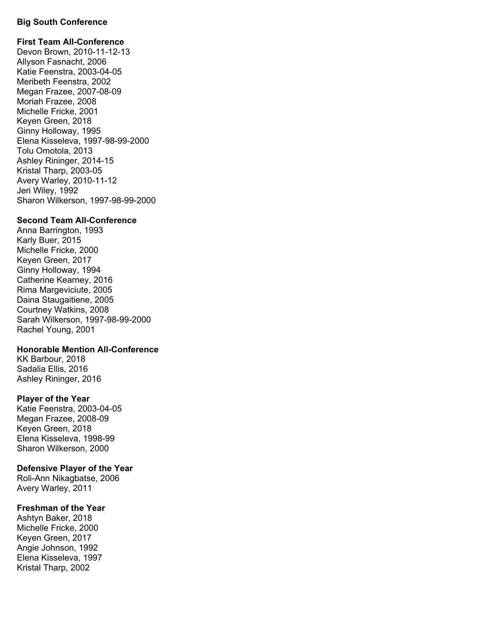### **Big South Conference**

## **First Team All-Conference**

Devon Brown, 2010-11-12-13 Allyson Fasnacht, 2006 Katie Feenstra, 2003-04-05 Meribeth Feenstra, 2002 Megan Frazee, 2007-08-09 Moriah Frazee, 2008 Michelle Fricke, 2001 Keyen Green, 2018 Ginny Holloway, 1995 Elena Kisseleva, 1997-98-99-2000 Tolu Omotola, 2013 Ashley Rininger, 2014-15 Kristal Tharp, 2003-05 Avery Warley, 2010-11-12 Jeri Wiley, 1992 Sharon Wilkerson, 1997-98-99-2000

# **Second Team All-Conference**

Anna Barrington, 1993 Karly Buer, 2015 Michelle Fricke, 2000 Keyen Green, 2017 Ginny Holloway, 1994 Catherine Kearney, 2016 Rima Margeviciute, 2005 Daina Staugaitiene, 2005 Courtney Watkins, 2008 Sarah Wilkerson, 1997-98-99-2000 Rachel Young, 2001

# **Honorable Mention All-Conference**

KK Barbour, 2018 Sadalia Ellis, 2016 Ashley Rininger, 2016

## **Player of the Year**

Katie Feenstra, 2003-04-05 Megan Frazee, 2008-09 Keyen Green, 2018 Elena Kisseleva, 1998-99 Sharon Wilkerson, 2000

# **Defensive Player of the Year**

Roli-Ann Nikagbatse, 2006 Avery Warley, 2011

# **Freshman of the Year**

Ashtyn Baker, 2018 Michelle Fricke, 2000 Keyen Green, 2017 Angie Johnson, 1992 Elena Kisseleva, 1997 Kristal Tharp, 2002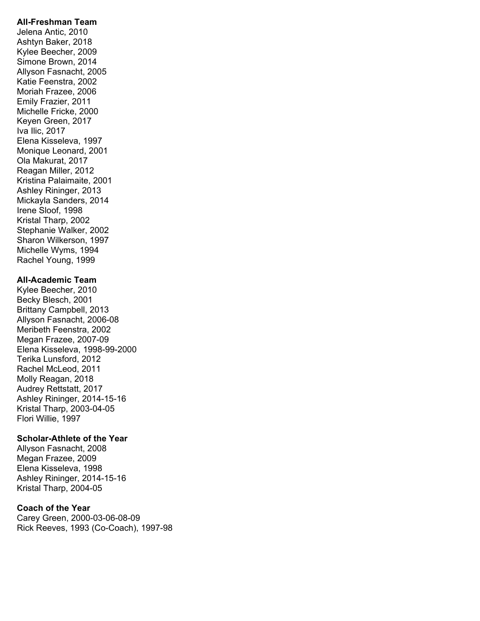## **All-Freshman Team**

Jelena Antic, 2010 Ashtyn Baker, 2018 Kylee Beecher, 2009 Simone Brown, 2014 Allyson Fasnacht, 2005 Katie Feenstra, 2002 Moriah Frazee, 2006 Emily Frazier, 2011 Michelle Fricke, 2000 Keyen Green, 2017 Iva Ilic, 2017 Elena Kisseleva, 1997 Monique Leonard, 2001 Ola Makurat, 2017 Reagan Miller, 2012 Kristina Palaimaite, 2001 Ashley Rininger, 2013 Mickayla Sanders, 2014 Irene Sloof, 1998 Kristal Tharp, 2002 Stephanie Walker, 2002 Sharon Wilkerson, 1997 Michelle Wyms, 1994 Rachel Young, 1999

#### **All-Academic Team**

Kylee Beecher, 2010 Becky Blesch, 2001 Brittany Campbell, 2013 Allyson Fasnacht, 2006-08 Meribeth Feenstra, 2002 Megan Frazee, 2007-09 Elena Kisseleva, 1998-99-2000 Terika Lunsford, 2012 Rachel McLeod, 2011 Molly Reagan, 2018 Audrey Rettstatt, 2017 Ashley Rininger, 2014-15-16 Kristal Tharp, 2003-04-05 Flori Willie, 1997

#### **Scholar-Athlete of the Year**

Allyson Fasnacht, 2008 Megan Frazee, 2009 Elena Kisseleva, 1998 Ashley Rininger, 2014-15-16 Kristal Tharp, 2004-05

#### **Coach of the Year**

Carey Green, 2000-03-06-08-09 Rick Reeves, 1993 (Co-Coach), 1997-98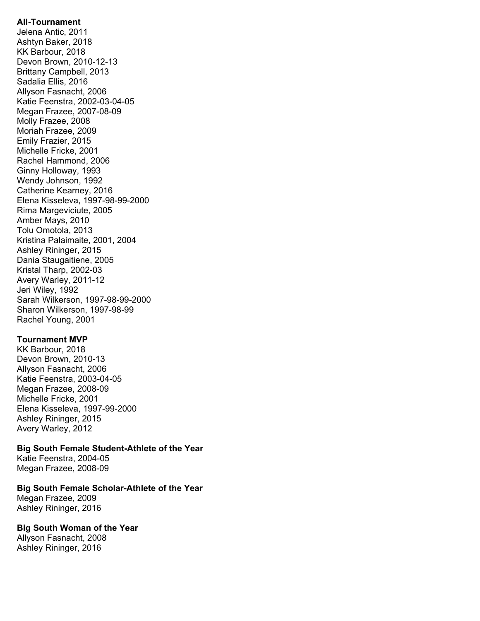## **All-Tournament**

Jelena Antic, 2011 Ashtyn Baker, 2018 KK Barbour, 2018 Devon Brown, 2010-12-13 Brittany Campbell, 2013 Sadalia Ellis, 2016 Allyson Fasnacht, 2006 Katie Feenstra, 2002-03-04-05 Megan Frazee, 2007-08-09 Molly Frazee, 2008 Moriah Frazee, 2009 Emily Frazier, 2015 Michelle Fricke, 2001 Rachel Hammond, 2006 Ginny Holloway, 1993 Wendy Johnson, 1992 Catherine Kearney, 2016 Elena Kisseleva, 1997-98-99-2000 Rima Margeviciute, 2005 Amber Mays, 2010 Tolu Omotola, 2013 Kristina Palaimaite, 2001, 2004 Ashley Rininger, 2015 Dania Staugaitiene, 2005 Kristal Tharp, 2002-03 Avery Warley, 2011-12 Jeri Wiley, 1992 Sarah Wilkerson, 1997-98-99-2000 Sharon Wilkerson, 1997-98-99 Rachel Young, 2001

#### **Tournament MVP**

KK Barbour, 2018 Devon Brown, 2010-13 Allyson Fasnacht, 2006 Katie Feenstra, 2003-04-05 Megan Frazee, 2008-09 Michelle Fricke, 2001 Elena Kisseleva, 1997-99-2000 Ashley Rininger, 2015 Avery Warley, 2012

## **Big South Female Student-Athlete of the Year**

Katie Feenstra, 2004-05 Megan Frazee, 2008-09

#### **Big South Female Scholar-Athlete of the Year**

Megan Frazee, 2009 Ashley Rininger, 2016

#### **Big South Woman of the Year**

Allyson Fasnacht, 2008 Ashley Rininger, 2016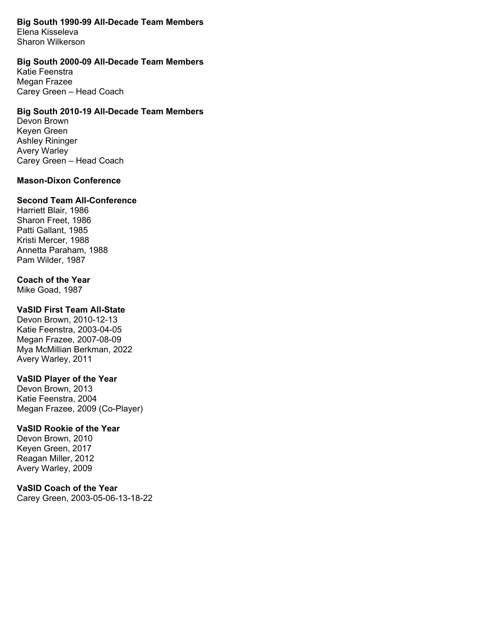### **Big South 1990-99 All-Decade Team Members**

Elena Kisseleva Sharon Wilkerson

## **Big South 2000-09 All-Decade Team Members**

Katie Feenstra Megan Frazee Carey Green – Head Coach

#### **Big South 2010-19 All-Decade Team Members**

Devon Brown Keyen Green Ashley Rininger Avery Warley Carey Green – Head Coach

#### **Mason-Dixon Conference**

#### **Second Team All-Conference**

Harriett Blair, 1986 Sharon Freet, 1986 Patti Gallant, 1985 Kristi Mercer, 1988 Annetta Paraham, 1988 Pam Wilder, 1987

#### **Coach of the Year**

Mike Goad, 1987

## **VaSID First Team All-State**

Devon Brown, 2010-12-13 Katie Feenstra, 2003-04-05 Megan Frazee, 2007-08-09 Mya McMillian Berkman, 2022 Avery Warley, 2011

#### **VaSID Player of the Year**

Devon Brown, 2013 Katie Feenstra, 2004 Megan Frazee, 2009 (Co-Player)

#### **VaSID Rookie of the Year**

Devon Brown, 2010 Keyen Green, 2017 Reagan Miller, 2012 Avery Warley, 2009

#### **VaSID Coach of the Year**

Carey Green, 2003-05-06-13-18-22